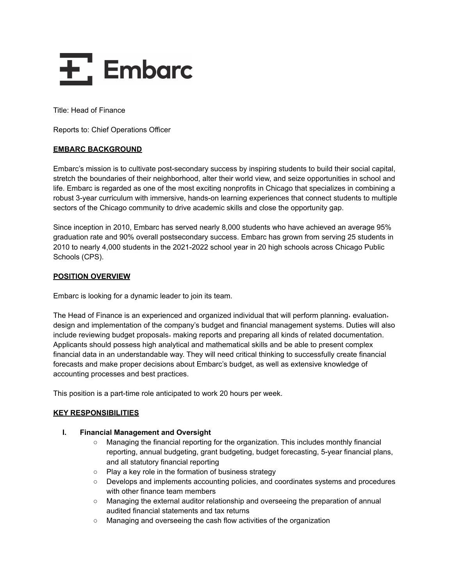

Title: Head of Finance

Reports to: Chief Operations Officer

# **EMBARC BACKGROUND**

Embarc's mission is to cultivate post-secondary success by inspiring students to build their social capital, stretch the boundaries of their neighborhood, alter their world view, and seize opportunities in school and life. Embarc is regarded as one of the most exciting nonprofits in Chicago that specializes in combining a robust 3-year curriculum with immersive, hands-on learning experiences that connect students to multiple sectors of the Chicago community to drive academic skills and close the opportunity gap.

Since inception in 2010, Embarc has served nearly 8,000 students who have achieved an average 95% graduation rate and 90% overall postsecondary success. Embarc has grown from serving 25 students in 2010 to nearly 4,000 students in the 2021-2022 school year in 20 high schools across Chicago Public Schools (CPS).

# **POSITION OVERVIEW**

Embarc is looking for a dynamic leader to join its team.

The Head of Finance is an experienced and organized individual that will perform planning, evaluation, design and implementation of the company's budget and financial management systems. Duties will also include reviewing budget proposals, making reports and preparing all kinds of related documentation. Applicants should possess high analytical and mathematical skills and be able to present complex financial data in an understandable way. They will need critical thinking to successfully create financial forecasts and make proper decisions about Embarc's budget, as well as extensive knowledge of accounting processes and best practices.

This position is a part-time role anticipated to work 20 hours per week.

# **KEY RESPONSIBILITIES**

# **I. Financial Management and Oversight**

- Managing the financial reporting for the organization. This includes monthly financial reporting, annual budgeting, grant budgeting, budget forecasting, 5-year financial plans, and all statutory financial reporting
- Play a key role in the formation of business strategy
- Develops and implements accounting policies, and coordinates systems and procedures with other finance team members
- Managing the external auditor relationship and overseeing the preparation of annual audited financial statements and tax returns
- Managing and overseeing the cash flow activities of the organization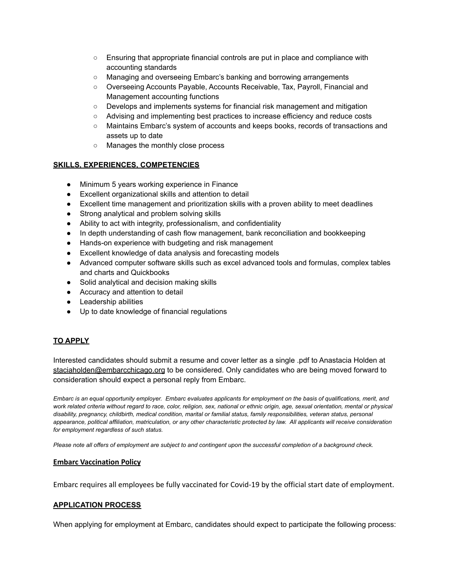- Ensuring that appropriate financial controls are put in place and compliance with accounting standards
- Managing and overseeing Embarc's banking and borrowing arrangements
- Overseeing Accounts Payable, Accounts Receivable, Tax, Payroll, Financial and Management accounting functions
- Develops and implements systems for financial risk management and mitigation
- Advising and implementing best practices to increase efficiency and reduce costs
- Maintains Embarc's system of accounts and keeps books, records of transactions and assets up to date
- Manages the monthly close process

# **SKILLS, EXPERIENCES, COMPETENCIES**

- Minimum 5 years working experience in Finance
- Excellent organizational skills and attention to detail
- Excellent time management and prioritization skills with a proven ability to meet deadlines
- Strong analytical and problem solving skills
- Ability to act with integrity, professionalism, and confidentiality
- In depth understanding of cash flow management, bank reconciliation and bookkeeping
- Hands-on experience with budgeting and risk management
- Excellent knowledge of data analysis and forecasting models
- Advanced computer software skills such as excel advanced tools and formulas, complex tables and charts and Quickbooks
- Solid analytical and decision making skills
- Accuracy and attention to detail
- Leadership abilities
- Up to date knowledge of financial regulations

# **TO APPLY**

Interested candidates should submit a resume and cover letter as a single .pdf to Anastacia Holden at [staciaholden@embarcchicago.org](mailto:staciaholden@embarcchicago.org) to be considered. Only candidates who are being moved forward to consideration should expect a personal reply from Embarc.

Embarc is an equal opportunity employer. Embarc evaluates applicants for employment on the basis of qualifications, merit, and work related criteria without regard to race, color, religion, sex, national or ethnic origin, age, sexual orientation, mental or physical disability, pregnancy, childbirth, medical condition, marital or familial status, family responsibilities, veteran status, personal appearance, political affiliation, matriculation, or any other characteristic protected by law. All applicants will receive consideration *for employment regardless of such status.*

Please note all offers of employment are subject to and contingent upon the successful completion of a background check.

## **Embarc Vaccination Policy**

Embarc requires all employees be fully vaccinated for Covid-19 by the official start date of employment.

## **APPLICATION PROCESS**

When applying for employment at Embarc, candidates should expect to participate the following process: